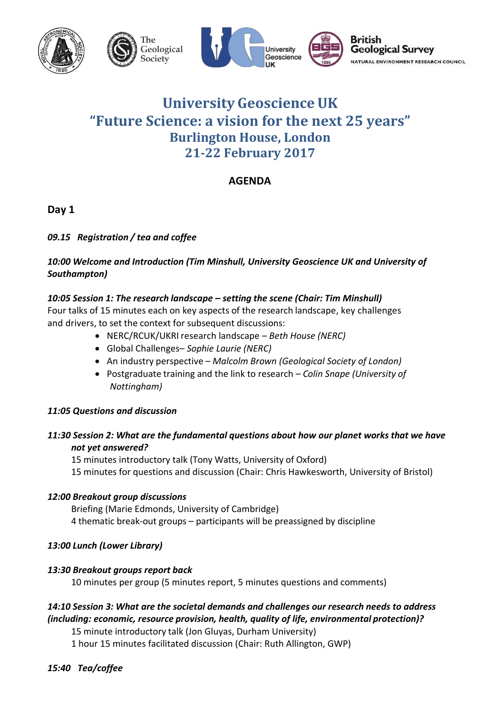

# **University Geoscience UK "Future Science: a vision for the next 25 years" Burlington House, London 21-22 February 2017**

# **AGENDA**

**Day 1**

# *09.15 Registration / tea and coffee*

### *10:00 Welcome and Introduction (Tim Minshull, University Geoscience UK and University of Southampton)*

# *10:05 Session 1: The research landscape – setting the scene (Chair: Tim Minshull)*

Four talks of 15 minutes each on key aspects of the research landscape, key challenges and drivers, to set the context for subsequent discussions:

- NERC/RCUK/UKRI research landscape *Beth House (NERC)*
- Global Challenges– *Sophie Laurie (NERC)*
- An industry perspective *Malcolm Brown (Geological Society of London)*
- Postgraduate training and the link to research *– Colin Snape (University of Nottingham)*

### *11:05 Questions and discussion*

### *11:30 Session 2: What are the fundamental questions about how our planet works that we have not yet answered?*

15 minutes introductory talk (Tony Watts, University of Oxford) 15 minutes for questions and discussion (Chair: Chris Hawkesworth, University of Bristol)

### *12:00 Breakout group discussions*

Briefing (Marie Edmonds, University of Cambridge) 4 thematic break-out groups – participants will be preassigned by discipline

# *13:00 Lunch (Lower Library)*

### *13:30 Breakout groups report back*

10 minutes per group (5 minutes report, 5 minutes questions and comments)

# *14:10 Session 3: What are the societal demands and challenges our research needs to address (including: economic, resource provision, health, quality of life, environmental protection)?*

15 minute introductory talk (Jon Gluyas, Durham University)

1 hour 15 minutes facilitated discussion (Chair: Ruth Allington, GWP)